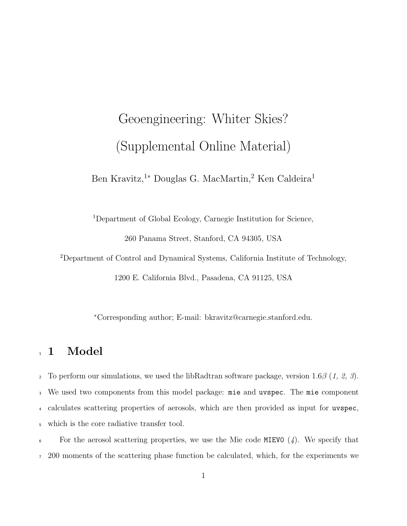# Geoengineering: Whiter Skies? (Supplemental Online Material)

Ben Kravitz,<sup>1</sup>\* Douglas G. MacMartin,<sup>2</sup> Ken Caldeira<sup>1</sup>

Department of Global Ecology, Carnegie Institution for Science,

260 Panama Street, Stanford, CA 94305, USA

Department of Control and Dynamical Systems, California Institute of Technology,

1200 E. California Blvd., Pasadena, CA 91125, USA

<sup>∗</sup>Corresponding author; E-mail: bkravitz@carnegie.stanford.edu.

# 1 Model

 To perform our simulations, we used the libRadtran software package, version 1.6β (*1, 2, 3*). We used two components from this model package: mie and uvspec. The mie component calculates scattering properties of aerosols, which are then provided as input for uvspec, which is the core radiative transfer tool.

 For the aerosol scattering properties, we use the Mie code MIEV0 (*4*). We specify that 200 moments of the scattering phase function be calculated, which, for the experiments we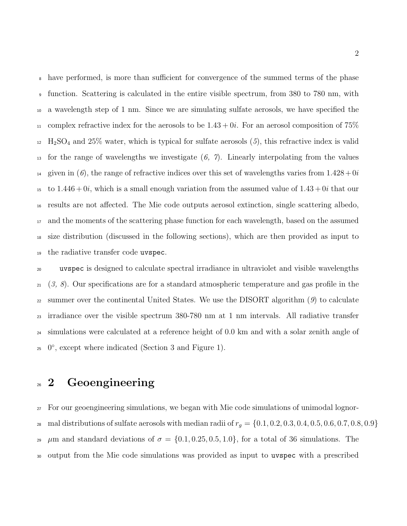have performed, is more than sufficient for convergence of the summed terms of the phase function. Scattering is calculated in the entire visible spectrum, from 380 to 780 nm, with a wavelength step of 1 nm. Since we are simulating sulfate aerosols, we have specified the 11 complex refractive index for the aerosols to be  $1.43 + 0i$ . For an aerosol composition of 75%  $_{12}$  H<sub>2</sub>SO<sub>4</sub> and 25% water, which is typical for sulfate aerosols  $(5)$ , this refractive index is valid for the range of wavelengths we investigate (*6, 7*). Linearly interpolating from the values <sup>14</sup> given in (6), the range of refractive indices over this set of wavelengths varies from  $1.428 + 0i$ 15 to  $1.446 + 0i$ , which is a small enough variation from the assumed value of  $1.43 + 0i$  that our results are not affected. The Mie code outputs aerosol extinction, single scattering albedo, and the moments of the scattering phase function for each wavelength, based on the assumed size distribution (discussed in the following sections), which are then provided as input to the radiative transfer code uvspec.

 uvspec is designed to calculate spectral irradiance in ultraviolet and visible wavelengths (*3, 8*). Our specifications are for a standard atmospheric temperature and gas profile in the summer over the continental United States. We use the DISORT algorithm (*9*) to calculate irradiance over the visible spectrum 380-780 nm at 1 nm intervals. All radiative transfer simulations were calculated at a reference height of 0.0 km and with a solar zenith angle of  $25 \, 0^\circ$ , except where indicated (Section 3 and Figure 1).

# <sup>26</sup> 2 Geoengineering

 For our geoengineering simulations, we began with Mie code simulations of unimodal lognor-28 mal distributions of sulfate aerosols with median radii of  $r_g = \{0.1, 0.2, 0.3, 0.4, 0.5, 0.6, 0.7, 0.8, 0.9\}$  $\mu$ m and standard deviations of  $\sigma = \{0.1, 0.25, 0.5, 1.0\}$ , for a total of 36 simulations. The output from the Mie code simulations was provided as input to uvspec with a prescribed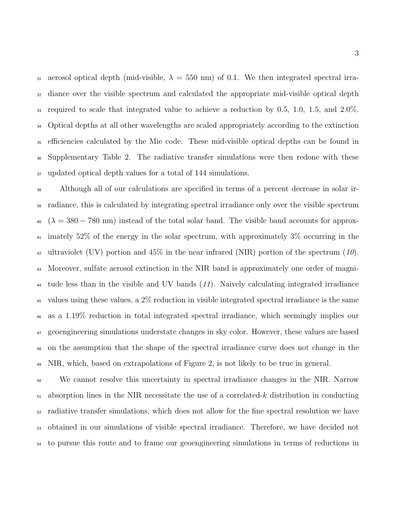31 aerosol optical depth (mid-visible,  $\lambda = 550$  nm) of 0.1. We then integrated spectral irra- diance over the visible spectrum and calculated the appropriate mid-visible optical depth required to scale that integrated value to achieve a reduction by 0.5, 1.0, 1.5, and 2.0%. Optical depths at all other wavelengths are scaled appropriately according to the extinction efficiencies calculated by the Mie code. These mid-visible optical depths can be found in Supplementary Table 2. The radiative transfer simulations were then redone with these updated optical depth values for a total of 144 simulations.

 Although all of our calculations are specified in terms of a percent decrease in solar ir- radiance, this is calculated by integrating spectral irradiance only over the visible spectrum  $\lambda_0$  ( $\lambda = 380 - 780$  nm) instead of the total solar band. The visible band accounts for approx- imately 52% of the energy in the solar spectrum, with approximately 3% occurring in the ultraviolet (UV) portion and 45% in the near infrared (NIR) portion of the spectrum (*10*). Moreover, sulfate aerosol extinction in the NIR band is approximately one order of magni- tude less than in the visible and UV bands (*11*). Naively calculating integrated irradiance values using these values, a 2% reduction in visible integrated spectral irradiance is the same as a 1.19% reduction in total integrated spectral irradiance, which seemingly implies our geoengineering simulations understate changes in sky color. However, these values are based on the assumption that the shape of the spectral irradiance curve does not change in the <sup>49</sup> NIR, which, based on extrapolations of Figure 2, is not likely to be true in general.

 We cannot resolve this uncertainty in spectral irradiance changes in the NIR. Narrow absorption lines in the NIR necessitate the use of a correlated-k distribution in conducting radiative transfer simulations, which does not allow for the fine spectral resolution we have obtained in our simulations of visible spectral irradiance. Therefore, we have decided not to pursue this route and to frame our geoengineering simulations in terms of reductions in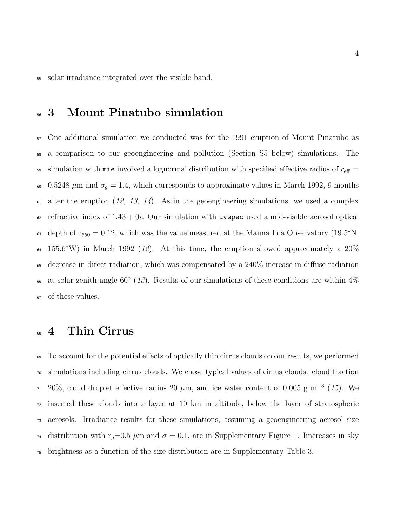solar irradiance integrated over the visible band.

## 3 Mount Pinatubo simulation

 One additional simulation we conducted was for the 1991 eruption of Mount Pinatubo as a comparison to our geoengineering and pollution (Section S5 below) simulations. The 59 simulation with mie involved a lognormal distribution with specified effective radius of  $r_{\text{eff}} =$ 60 0.5248  $\mu$ m and  $\sigma_g = 1.4$ , which corresponds to approximate values in March 1992, 9 months  $\epsilon_1$  after the eruption (12, 13, 14). As in the geoengineering simulations, we used a complex refractive index of  $1.43 + 0i$ . Our simulation with uvspec used a mid-visible aerosol optical 63 depth of  $\tau_{550} = 0.12$ , which was the value measured at the Mauna Loa Observatory (19.5°N,  $\mu$  155.6°W) in March 1992 (12). At this time, the eruption showed approximately a 20% decrease in direct radiation, which was compensated by a 240% increase in diffuse radiation <sup>66</sup> at solar zenith angle  $60°$  ( $13$ ). Results of our simulations of these conditions are within  $4\%$ of these values.

### 4 Thin Cirrus

 To account for the potential effects of optically thin cirrus clouds on our results, we performed simulations including cirrus clouds. We chose typical values of cirrus clouds: cloud fraction  $_{71}$  20%, cloud droplet effective radius 20  $\mu$ m, and ice water content of 0.005 g m<sup>-3</sup> (15). We inserted these clouds into a layer at 10 km in altitude, below the layer of stratospheric aerosols. Irradiance results for these simulations, assuming a geoengineering aerosol size <sup>74</sup> distribution with r<sub>g</sub>=0.5  $\mu$ m and  $\sigma$  = 0.1, are in Supplementary Figure 1. Iincreases in sky brightness as a function of the size distribution are in Supplementary Table 3.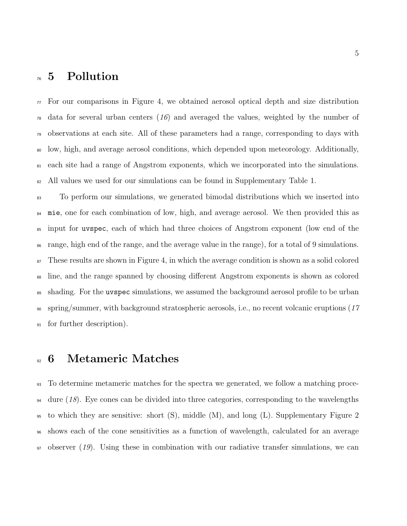#### Pollution

 $\pi$  For our comparisons in Figure 4, we obtained aerosol optical depth and size distribution data for several urban centers (*16*) and averaged the values, weighted by the number of observations at each site. All of these parameters had a range, corresponding to days with low, high, and average aerosol conditions, which depended upon meteorology. Additionally, each site had a range of Angstrom exponents, which we incorporated into the simulations. <sup>82</sup> All values we used for our simulations can be found in Supplementary Table 1.

 To perform our simulations, we generated bimodal distributions which we inserted into mie, one for each combination of low, high, and average aerosol. We then provided this as input for uvspec, each of which had three choices of Angstrom exponent (low end of the range, high end of the range, and the average value in the range), for a total of 9 simulations. <sup>87</sup> These results are shown in Figure 4, in which the average condition is shown as a solid colored line, and the range spanned by choosing different Angstrom exponents is shown as colored shading. For the uvspec simulations, we assumed the background aerosol profile to be urban spring/summer, with background stratospheric aerosols, i.e., no recent volcanic eruptions (*17* for further description).

## 6 Metameric Matches

 To determine metameric matches for the spectra we generated, we follow a matching proce-<sup>94</sup> dure (18). Eye cones can be divided into three categories, corresponding to the wavelengths  $\mu$ <sub>95</sub> to which they are sensitive: short (S), middle (M), and long (L). Supplementary Figure 2 shows each of the cone sensitivities as a function of wavelength, calculated for an average observer (*19*). Using these in combination with our radiative transfer simulations, we can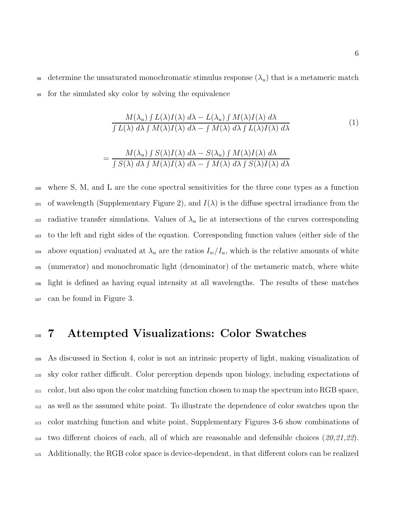98 determine the unsaturated monochromatic stimulus response  $(\lambda_u)$  that is a metameric match <sup>99</sup> for the simulated sky color by solving the equivalence

$$
\frac{M(\lambda_u) \int L(\lambda)I(\lambda) \ d\lambda - L(\lambda_u) \int M(\lambda)I(\lambda) \ d\lambda}{\int L(\lambda) \ d\lambda \int M(\lambda)I(\lambda) \ d\lambda - \int M(\lambda) \ d\lambda \int L(\lambda)I(\lambda) \ d\lambda} \tag{1}
$$

$$
= \frac{M(\lambda_u) \int S(\lambda)I(\lambda) \ d\lambda - S(\lambda_u) \int M(\lambda)I(\lambda) \ d\lambda}{\int S(\lambda) \ d\lambda \int M(\lambda)I(\lambda) \ d\lambda - \int M(\lambda) \ d\lambda \int S(\lambda)I(\lambda) \ d\lambda}
$$

 where S, M, and L are the cone spectral sensitivities for the three cone types as a function 101 of wavelength (Supplementary Figure 2), and  $I(\lambda)$  is the diffuse spectral irradiance from the 102 radiative transfer simulations. Values of  $\lambda_u$  lie at intersections of the curves corresponding to the left and right sides of the equation. Corresponding function values (either side of the 104 above equation) evaluated at  $\lambda_u$  are the ratios  $I_w/I_u$ , which is the relative amounts of white (numerator) and monochromatic light (denominator) of the metameric match, where white light is defined as having equal intensity at all wavelengths. The results of these matches can be found in Figure 3.

#### <sup>108</sup> 7 Attempted Visualizations: Color Swatches

 As discussed in Section 4, color is not an intrinsic property of light, making visualization of sky color rather difficult. Color perception depends upon biology, including expectations of color, but also upon the color matching function chosen to map the spectrum into RGB space, as well as the assumed white point. To illustrate the dependence of color swatches upon the color matching function and white point, Supplementary Figures 3-6 show combinations of two different choices of each, all of which are reasonable and defensible choices (*20,21,22*). Additionally, the RGB color space is device-dependent, in that different colors can be realized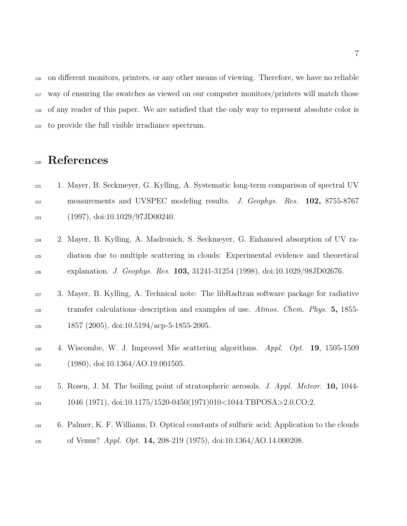on different monitors, printers, or any other means of viewing. Therefore, we have no reliable way of ensuring the swatches as viewed on our computer monitors/printers will match those of any reader of this paper. We are satisfied that the only way to represent absolute color is to provide the full visible irradiance spectrum.

## References

- 1. Mayer, B. Seckmeyer, G. Kylling, A. Systematic long-term comparison of spectral UV measurements and UVSPEC modeling results. *J. Geophys. Res.* 102, 8755-8767 (1997), doi:10.1029/97JD00240.
- 2. Mayer, B. Kylling, A. Madronich, S. Seckmeyer, G. Enhanced absorption of UV ra- diation due to multiple scattering in clouds: Experimental evidence and theoretical explanation. *J. Geophys. Res.* 103, 31241-31254 (1998), doi:10.1029/98JD02676.
- 3. Mayer, B. Kylling, A. Technical note: The libRadtran software package for radiative transfer calculations–description and examples of use. *Atmos. Chem. Phys.* 5, 1855-  $129 \hspace{1.5cm} 1857 \hspace{1.5cm} (2005), \hspace{1.5cm} \text{doi: } 10.5194/\text{acp-5-1855-2005}.$
- 4. Wiscombe, W. J. Improved Mie scattering algorithms. *Appl. Opt.* 19, 1505-1509 (1980), doi:10.1364/AO.19.001505.
- 5. Rosen, J. M. The boiling point of stratospheric aerosols. *J. Appl. Meteor.* 10, 1044- 1046 (1971), doi:10.1175/1520-0450(1971)010<1044:TBPOSA>2.0.CO;2.
- 6. Palmer, K. F. Williams, D. Optical constants of sulfuric acid; Application to the clouds of Venus? *Appl. Opt.* 14, 208-219 (1975), doi:10.1364/AO.14.000208.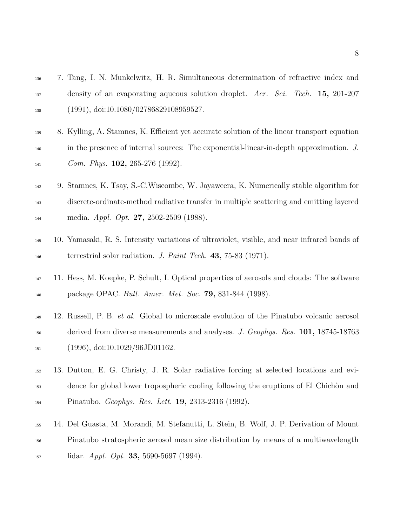- 7. Tang, I. N. Munkelwitz, H. R. Simultaneous determination of refractive index and density of an evaporating aqueous solution droplet. *Aer. Sci. Tech.* 15, 201-207 (1991), doi:10.1080/02786829108959527.
- 8. Kylling, A. Stamnes, K. Efficient yet accurate solution of the linear transport equation in the presence of internal sources: The exponential-linear-in-depth approximation. *J. Com. Phys.* 102, 265-276 (1992).
- 9. Stamnes, K. Tsay, S.-C.Wiscombe, W. Jayaweera, K. Numerically stable algorithm for discrete-ordinate-method radiative transfer in multiple scattering and emitting layered media. *Appl. Opt.* 27, 2502-2509 (1988).
- 10. Yamasaki, R. S. Intensity variations of ultraviolet, visible, and near infrared bands of terrestrial solar radiation. *J. Paint Tech.* 43, 75-83 (1971).
- 11. Hess, M. Koepke, P. Schult, I. Optical properties of aerosols and clouds: The software package OPAC. *Bull. Amer. Met. Soc.* 79, 831-844 (1998).
- 12. Russell, P. B. *et al.* Global to microscale evolution of the Pinatubo volcanic aerosol derived from diverse measurements and analyses. *J. Geophys. Res.* 101, 18745-18763 (1996), doi:10.1029/96JD01162.
- 13. Dutton, E. G. Christy, J. R. Solar radiative forcing at selected locations and evi- dence for global lower tropospheric cooling following the eruptions of El Chich`on and Pinatubo. *Geophys. Res. Lett.* 19, 2313-2316 (1992).
- 14. Del Guasta, M. Morandi, M. Stefanutti, L. Stein, B. Wolf, J. P. Derivation of Mount Pinatubo stratospheric aerosol mean size distribution by means of a multiwavelength lidar. *Appl. Opt.* 33, 5690-5697 (1994).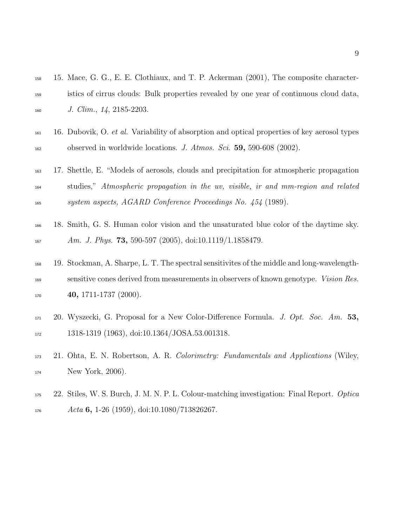| 158               | 15. Mace, G. G., E. E. Clothiaux, and T. P. Ackerman (2001), The composite character-                                                                                                                         |
|-------------------|---------------------------------------------------------------------------------------------------------------------------------------------------------------------------------------------------------------|
| 159               | istics of cirrus clouds: Bulk properties revealed by one year of continuous cloud data,                                                                                                                       |
| 160               | J. Clim., $14$ , 2185-2203.                                                                                                                                                                                   |
| 161<br>162        | 16. Dubovik, O. et al. Variability of absorption and optical properties of key aerosol types<br>observed in worldwide locations. J. Atmos. Sci. $59, 590-608$ (2002).                                         |
| 163               | 17. Shettle, E. "Models of aerosols, clouds and precipitation for atmospheric propagation<br>studies," Atmospheric propagation in the uv, visible, ir and mm-region and related                               |
| 164<br>165        | system aspects, AGARD Conference Proceedings No. 454 (1989).                                                                                                                                                  |
| 166<br>167        | 18. Smith, G. S. Human color vision and the unsaturated blue color of the daytime sky.<br>Am. J. Phys. 73, 590-597 (2005), doi:10.1119/1.1858479.                                                             |
| 168<br>169<br>170 | 19. Stockman, A. Sharpe, L. T. The spectral sensitivites of the middle and long-wavelength-<br>sensitive cones derived from measurements in observers of known genotype. Vision Res.<br>40, 1711-1737 (2000). |
| 171<br>172        | 20. Wyszecki, G. Proposal for a New Color-Difference Formula. J. Opt. Soc. Am. 53,<br>1318-1319 (1963), doi:10.1364/JOSA.53.001318.                                                                           |
| 173<br>174        | 21. Ohta, E. N. Robertson, A. R. Colorimetry: Fundamentals and Applications (Wiley,<br>New York, 2006).                                                                                                       |
| 175<br>176        | 22. Stiles, W. S. Burch, J. M. N. P. L. Colour-matching investigation: Final Report. Optica<br>Acta 6, 1-26 (1959), doi:10.1080/713826267.                                                                    |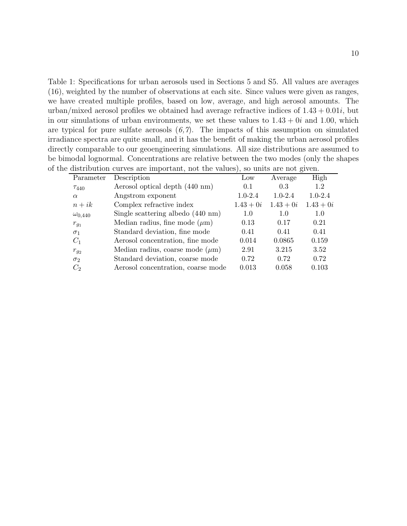Table 1: Specifications for urban aerosols used in Sections 5 and S5. All values are averages (16), weighted by the number of observations at each site. Since values were given as ranges, we have created multiple profiles, based on low, average, and high aerosol amounts. The urban/mixed aerosol profiles we obtained had average refractive indices of  $1.43 + 0.01i$ , but in our simulations of urban environments, we set these values to  $1.43 + 0i$  and  $1.00$ , which are typical for pure sulfate aerosols  $(6,7)$ . The impacts of this assumption on simulated irradiance spectra are quite small, and it has the benefit of making the urban aerosol profiles directly comparable to our geoengineering simulations. All size distributions are assumed to be bimodal lognormal. Concentrations are relative between the two modes (only the shapes of the distribution curves are important, not the values), so units are not given.

| $\frac{1}{2}$    |                                             |                 |             |             |  |  |  |  |  |
|------------------|---------------------------------------------|-----------------|-------------|-------------|--|--|--|--|--|
| Parameter        | Description                                 | $_{\text{Low}}$ | Average     | High        |  |  |  |  |  |
| $T_{440}$        | Aerosol optical depth (440 nm)              | 0.1             | 0.3         | 1.2         |  |  |  |  |  |
| $\alpha$         | Angstrom exponent                           | $1.0 - 2.4$     | $1.0 - 2.4$ | $1.0 - 2.4$ |  |  |  |  |  |
| $n+ik$           | Complex refractive index                    | $1.43 + 0i$     | $1.43 + 0i$ | $1.43 + 0i$ |  |  |  |  |  |
| $\omega_{0,440}$ | Single scattering albedo $(440 \text{ nm})$ | 1.0             | 1.0         | 1.0         |  |  |  |  |  |
| $r_{g_1}$        | Median radius, fine mode $(\mu m)$          | 0.13            | 0.17        | 0.21        |  |  |  |  |  |
| $\sigma_1$       | Standard deviation, fine mode               | 0.41            | 0.41        | 0.41        |  |  |  |  |  |
| $C_1$            | Aerosol concentration, fine mode            | 0.014           | 0.0865      | 0.159       |  |  |  |  |  |
| $r_{g_2}$        | Median radius, coarse mode $(\mu m)$        | 2.91            | 3.215       | 3.52        |  |  |  |  |  |
| $\sigma_2$       | Standard deviation, coarse mode             | 0.72            | 0.72        | 0.72        |  |  |  |  |  |
| C <sub>2</sub>   | Aerosol concentration, coarse mode          | 0.013           | 0.058       | 0.103       |  |  |  |  |  |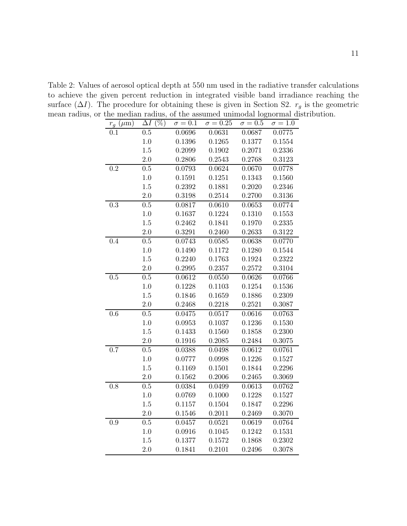$r_g \ (\mu \text{m}) \quad \Delta I \ (\%) \quad \sigma = 0.1 \quad \sigma = 0.25 \quad \sigma = 0.5 \quad \sigma = 1.0$ 0.1 0.5 0.0696 0.0631 0.0687 0.0775 1.0 0.1396 0.1265 0.1377 0.1554 1.5 0.2099 0.1902 0.2071 0.2336 2.0 0.2806 0.2543 0.2768 0.3123 0.2 0.5 0.0793 0.0624 0.0670 0.0778 1.0 0.1591 0.1251 0.1343 0.1560 1.5 0.2392 0.1881 0.2020 0.2346 2.0 0.3198 0.2514 0.2700 0.3136 0.3 0.5 0.0817 0.0610 0.0653 0.0774 1.0 0.1637 0.1224 0.1310 0.1553 1.5 0.2462 0.1841 0.1970 0.2335 2.0 0.3291 0.2460 0.2633 0.3122 0.4 0.5 0.0743 0.0585 0.0638 0.0770 1.0 0.1490 0.1172 0.1280 0.1544 1.5 0.2240 0.1763 0.1924 0.2322 2.0 0.2995 0.2357 0.2572 0.3104 0.5 0.5 0.0612 0.0550 0.0626 0.0766 1.0 0.1228 0.1103 0.1254 0.1536 1.5 0.1846 0.1659 0.1886 0.2309 2.0 0.2468 0.2218 0.2521 0.3087 0.6 0.5 0.0475 0.0517 0.0616 0.0763 1.0 0.0953 0.1037 0.1236 0.1530 1.5 0.1433 0.1560 0.1858 0.2300 2.0 0.1916 0.2085 0.2484 0.3075 0.7 0.5 0.0388 0.0498 0.0612 0.0761 1.0 0.0777 0.0998 0.1226 0.1527 1.5 0.1169 0.1501 0.1844 0.2296 2.0 0.1562 0.2006 0.2465 0.3069 0.8 0.5 0.0384 0.0499 0.0613 0.0762 1.0 0.0769 0.1000 0.1228 0.1527 1.5 0.1157 0.1504 0.1847 0.2296 2.0 0.1546 0.2011 0.2469 0.3070 0.9 0.5 0.0457 0.0521 0.0619 0.0764 1.0 0.0916 0.1045 0.1242 0.1531 1.5 0.1377 0.1572 0.1868 0.2302 2.0 0.1841 0.2101 0.2496 0.3078

Table 2: Values of aerosol optical depth at 550 nm used in the radiative transfer calculations to achieve the given percent reduction in integrated visible band irradiance reaching the surface  $(\Delta I)$ . The procedure for obtaining these is given in Section S2.  $r<sub>g</sub>$  is the geometric mean radius, or the median radius, of the assumed unimodal lognormal distribution.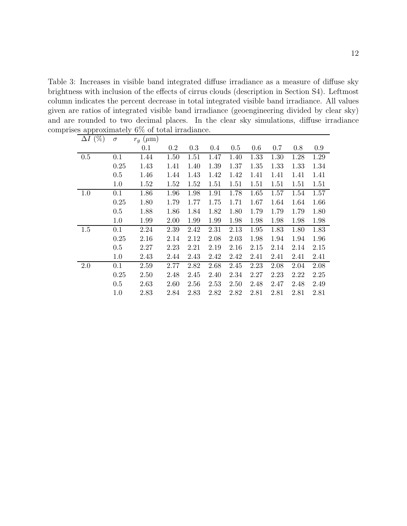Table 3: Increases in visible band integrated diffuse irradiance as a measure of diffuse sky brightness with inclusion of the effects of cirrus clouds (description in Section S4). Leftmost column indicates the percent decrease in total integrated visible band irradiance. All values given are ratios of integrated visible band irradiance (geoengineering divided by clear sky) and are rounded to two decimal places. In the clear sky simulations, diffuse irradiance comprises approximately 6% of total irradiance.

| $\Delta I~(\%)$ | $\sigma$ | $r_q$ ( $\mu$ m) |         |      |      |         |      |      |      |      |
|-----------------|----------|------------------|---------|------|------|---------|------|------|------|------|
|                 |          | 0.1              | $0.2\,$ | 0.3  | 0.4  | $0.5\,$ | 0.6  | 0.7  | 0.8  | 0.9  |
| 0.5             | 0.1      | 1.44             | 1.50    | 1.51 | 1.47 | 1.40    | 1.33 | 1.30 | 1.28 | 1.29 |
|                 | 0.25     | 1.43             | 1.41    | 1.40 | 1.39 | 1.37    | 1.35 | 1.33 | 1.33 | 1.34 |
|                 | 0.5      | 1.46             | 1.44    | 1.43 | 1.42 | 1.42    | 1.41 | 1.41 | 1.41 | 1.41 |
|                 | 1.0      | 1.52             | 1.52    | 1.52 | 1.51 | 1.51    | 1.51 | 1.51 | 1.51 | 1.51 |
| 1.0             | 0.1      | 1.86             | 1.96    | 1.98 | 1.91 | 1.78    | 1.65 | 1.57 | 1.54 | 1.57 |
|                 | 0.25     | 1.80             | 1.79    | 1.77 | 1.75 | 1.71    | 1.67 | 1.64 | 1.64 | 1.66 |
|                 | 0.5      | 1.88             | 1.86    | 1.84 | 1.82 | 1.80    | 1.79 | 1.79 | 1.79 | 1.80 |
|                 | 1.0      | 1.99             | 2.00    | 1.99 | 1.99 | 1.98    | 1.98 | 1.98 | 1.98 | 1.98 |
| 1.5             | $0.1\,$  | 2.24             | 2.39    | 2.42 | 2.31 | 2.13    | 1.95 | 1.83 | 1.80 | 1.83 |
|                 | 0.25     | 2.16             | 2.14    | 2.12 | 2.08 | 2.03    | 1.98 | 1.94 | 1.94 | 1.96 |
|                 | 0.5      | 2.27             | 2.23    | 2.21 | 2.19 | 2.16    | 2.15 | 2.14 | 2.14 | 2.15 |
|                 | 1.0      | 2.43             | 2.44    | 2.43 | 2.42 | 2.42    | 2.41 | 2.41 | 2.41 | 2.41 |
| 2.0             | 0.1      | 2.59             | 2.77    | 2.82 | 2.68 | 2.45    | 2.23 | 2.08 | 2.04 | 2.08 |
|                 | 0.25     | 2.50             | 2.48    | 2.45 | 2.40 | 2.34    | 2.27 | 2.23 | 2.22 | 2.25 |
|                 | 0.5      | 2.63             | 2.60    | 2.56 | 2.53 | 2.50    | 2.48 | 2.47 | 2.48 | 2.49 |
|                 | 1.0      | 2.83             | 2.84    | 2.83 | 2.82 | 2.82    | 2.81 | 2.81 | 2.81 | 2.81 |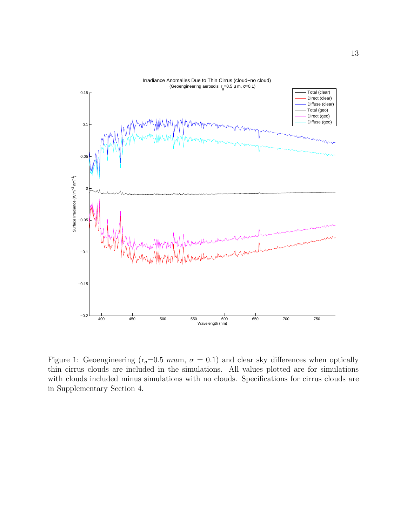

Figure 1: Geoengineering ( $r_g=0.5$  mum,  $\sigma=0.1$ ) and clear sky differences when optically thin cirrus clouds are included in the simulations. All values plotted are for simulations with clouds included minus simulations with no clouds. Specifications for cirrus clouds are in Supplementary Section 4.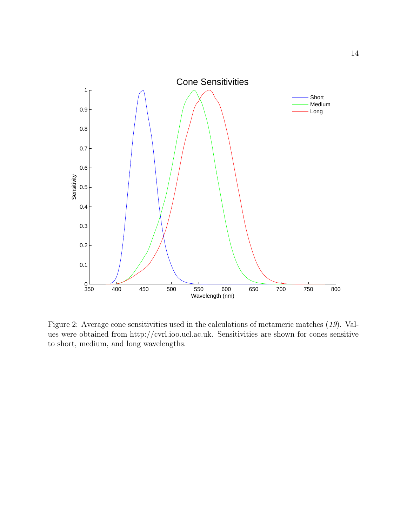

Figure 2: Average cone sensitivities used in the calculations of metameric matches (*19*). Values were obtained from http://cvrl.ioo.ucl.ac.uk. Sensitivities are shown for cones sensitive to short, medium, and long wavelengths.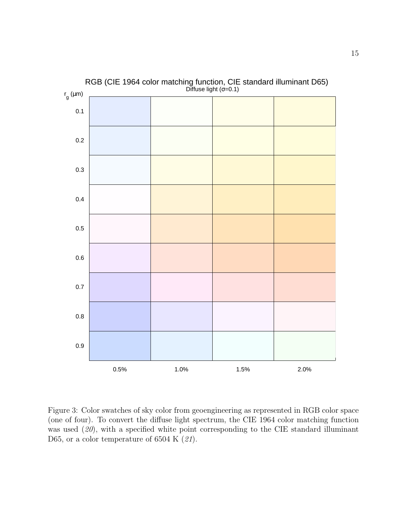

RGB (CIE 1964 color matching function, CIE standard illuminant D65)

Figure 3: Color swatches of sky color from geoengineering as represented in RGB color space (one of four). To convert the diffuse light spectrum, the CIE 1964 color matching function was used  $(20)$ , with a specified white point corresponding to the CIE standard illuminant D65, or a color temperature of 6504 K (*21*).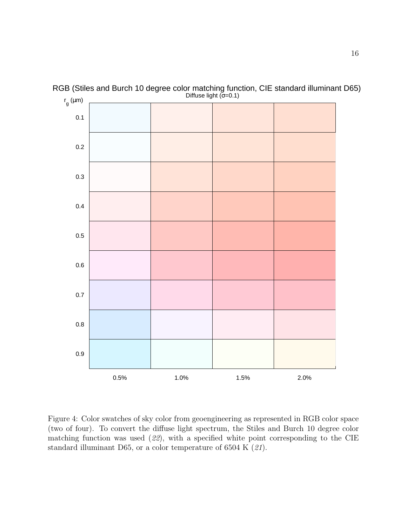

RGB (Stiles and Burch 10 degree color matching function, CIE standard illuminant D65) Diffuse light  $(σ=0.1)$ 

Figure 4: Color swatches of sky color from geoengineering as represented in RGB color space (two of four). To convert the diffuse light spectrum, the Stiles and Burch 10 degree color matching function was used (*22*), with a specified white point corresponding to the CIE standard illuminant D65, or a color temperature of 6504 K (*21*).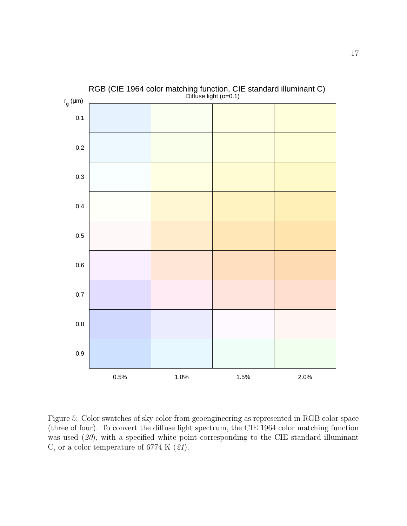

Figure 5: Color swatches of sky color from geoengineering as represented in RGB color space (three of four). To convert the diffuse light spectrum, the CIE 1964 color matching function was used (*20*), with a specified white point corresponding to the CIE standard illuminant C, or a color temperature of 6774 K (*21*).